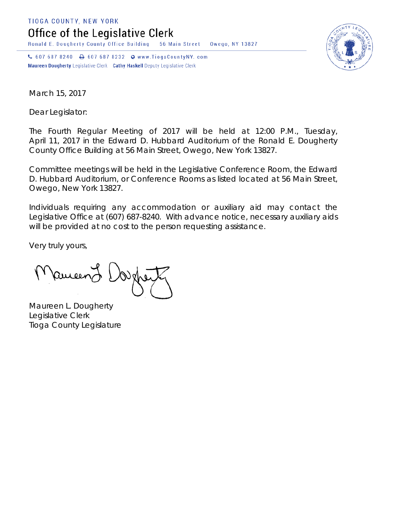TIOGA COUNTY, NEW YORK

Office of the Legislative Clerk

Ronald E. Dougherty County Office Building 56 Main Street Owego, NY 13827

↓ 607 687 8240 → 607 687 8232 → www.TiogaCountyNY.com Maureen Dougherty Legislative Clerk Cathy Haskell Deputy Legislative Clerk



March 15, 2017

Dear Legislator:

The Fourth Regular Meeting of 2017 will be held at 12:00 P.M., Tuesday, April 11, 2017 in the Edward D. Hubbard Auditorium of the Ronald E. Dougherty County Office Building at 56 Main Street, Owego, New York 13827.

Committee meetings will be held in the Legislative Conference Room, the Edward D. Hubbard Auditorium, or Conference Rooms as listed located at 56 Main Street, Owego, New York 13827.

Individuals requiring any accommodation or auxiliary aid may contact the Legislative Office at (607) 687-8240. With advance notice, necessary auxiliary aids will be provided at no cost to the person requesting assistance.

Very truly yours,

Pancent !

Maureen L. Dougherty Legislative Clerk Tioga County Legislature